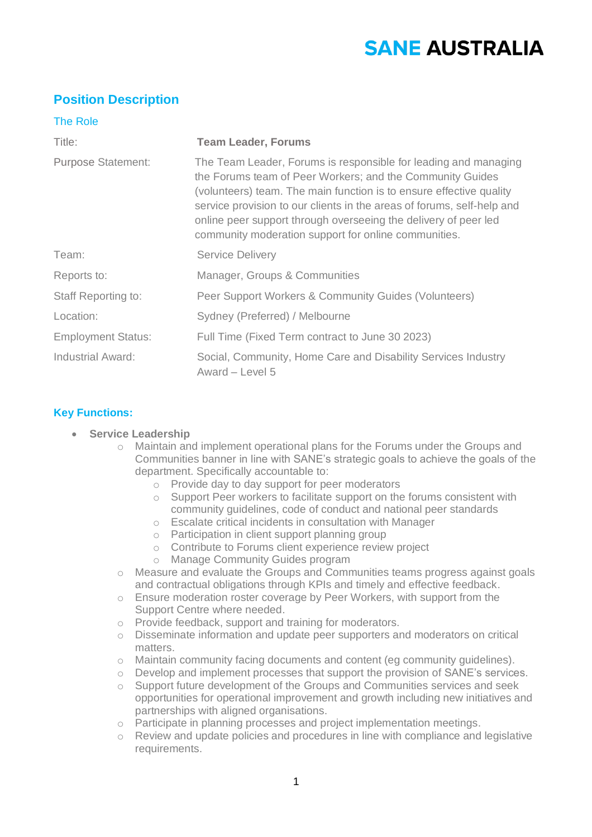# **SANE AUSTRALIA**

## **Position Description**

| <b>The Role</b>            |                                                                                                                                                                                                                                                                                                                                                                                                          |
|----------------------------|----------------------------------------------------------------------------------------------------------------------------------------------------------------------------------------------------------------------------------------------------------------------------------------------------------------------------------------------------------------------------------------------------------|
| Title:                     | <b>Team Leader, Forums</b>                                                                                                                                                                                                                                                                                                                                                                               |
| <b>Purpose Statement:</b>  | The Team Leader, Forums is responsible for leading and managing<br>the Forums team of Peer Workers; and the Community Guides<br>(volunteers) team. The main function is to ensure effective quality<br>service provision to our clients in the areas of forums, self-help and<br>online peer support through overseeing the delivery of peer led<br>community moderation support for online communities. |
| Team:                      | <b>Service Delivery</b>                                                                                                                                                                                                                                                                                                                                                                                  |
| Reports to:                | Manager, Groups & Communities                                                                                                                                                                                                                                                                                                                                                                            |
| <b>Staff Reporting to:</b> | Peer Support Workers & Community Guides (Volunteers)                                                                                                                                                                                                                                                                                                                                                     |
| Location:                  | Sydney (Preferred) / Melbourne                                                                                                                                                                                                                                                                                                                                                                           |
| <b>Employment Status:</b>  | Full Time (Fixed Term contract to June 30 2023)                                                                                                                                                                                                                                                                                                                                                          |
| <b>Industrial Award:</b>   | Social, Community, Home Care and Disability Services Industry<br>Award – Level 5                                                                                                                                                                                                                                                                                                                         |

### **Key Functions:**

- **Service Leadership** 
	- o Maintain and implement operational plans for the Forums under the Groups and Communities banner in line with SANE's strategic goals to achieve the goals of the department. Specifically accountable to:
		- o Provide day to day support for peer moderators
		- o Support Peer workers to facilitate support on the forums consistent with community guidelines, code of conduct and national peer standards
		- o Escalate critical incidents in consultation with Manager
		- o Participation in client support planning group
		- o Contribute to Forums client experience review project
		- o Manage Community Guides program
	- o Measure and evaluate the Groups and Communities teams progress against goals and contractual obligations through KPIs and timely and effective feedback.
	- o Ensure moderation roster coverage by Peer Workers, with support from the Support Centre where needed.
	- o Provide feedback, support and training for moderators.
	- o Disseminate information and update peer supporters and moderators on critical matters.
	- o Maintain community facing documents and content (eg community guidelines).
	- $\circ$  Develop and implement processes that support the provision of SANE's services.
	- o Support future development of the Groups and Communities services and seek opportunities for operational improvement and growth including new initiatives and partnerships with aligned organisations.
	- o Participate in planning processes and project implementation meetings.
	- o Review and update policies and procedures in line with compliance and legislative requirements.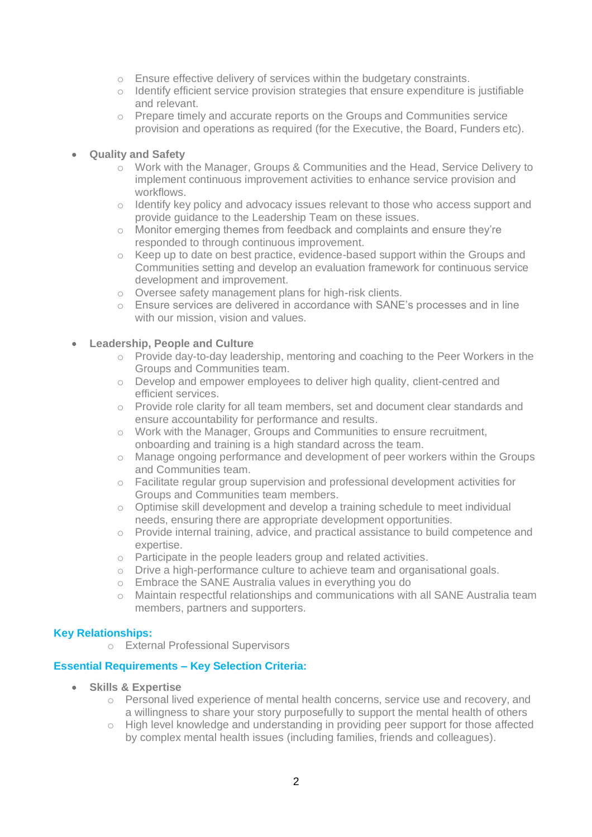- o Ensure effective delivery of services within the budgetary constraints.
- o Identify efficient service provision strategies that ensure expenditure is justifiable and relevant.
- o Prepare timely and accurate reports on the Groups and Communities service provision and operations as required (for the Executive, the Board, Funders etc).

#### • **Quality and Safety**

- o Work with the Manager, Groups & Communities and the Head, Service Delivery to implement continuous improvement activities to enhance service provision and workflows.
- o Identify key policy and advocacy issues relevant to those who access support and provide guidance to the Leadership Team on these issues.
- o Monitor emerging themes from feedback and complaints and ensure they're responded to through continuous improvement.
- o Keep up to date on best practice, evidence-based support within the Groups and Communities setting and develop an evaluation framework for continuous service development and improvement.
- o Oversee safety management plans for high-risk clients.
- o Ensure services are delivered in accordance with SANE's processes and in line with our mission, vision and values.

#### • **Leadership, People and Culture**

- o Provide day-to-day leadership, mentoring and coaching to the Peer Workers in the Groups and Communities team.
- o Develop and empower employees to deliver high quality, client-centred and efficient services.
- o Provide role clarity for all team members, set and document clear standards and ensure accountability for performance and results.
- o Work with the Manager, Groups and Communities to ensure recruitment, onboarding and training is a high standard across the team.
- o Manage ongoing performance and development of peer workers within the Groups and Communities team.
- $\circ$  Facilitate regular group supervision and professional development activities for Groups and Communities team members.
- $\circ$  Optimise skill development and develop a training schedule to meet individual needs, ensuring there are appropriate development opportunities.
- o Provide internal training, advice, and practical assistance to build competence and expertise.
- o Participate in the people leaders group and related activities.
- $\circ$  Drive a high-performance culture to achieve team and organisational goals.
- o Embrace the SANE Australia values in everything you do
- o Maintain respectful relationships and communications with all SANE Australia team members, partners and supporters.

#### **Key Relationships:**

o External Professional Supervisors

#### **Essential Requirements – Key Selection Criteria:**

- **Skills & Expertise** 
	- o Personal lived experience of mental health concerns, service use and recovery, and a willingness to share your story purposefully to support the mental health of others
	- o High level knowledge and understanding in providing peer support for those affected by complex mental health issues (including families, friends and colleagues).